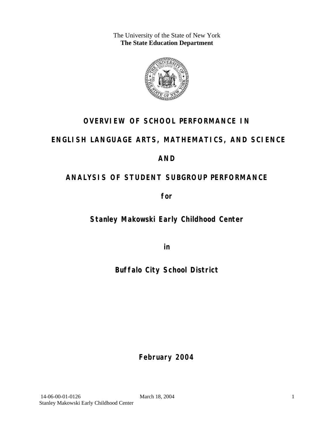The University of the State of New York **The State Education Department** 



### **OVERVIEW OF SCHOOL PERFORMANCE IN**

### **ENGLISH LANGUAGE ARTS, MATHEMATICS, AND SCIENCE**

### **AND**

## **ANALYSIS OF STUDENT SUBGROUP PERFORMANCE**

**for** 

**Stanley Makowski Early Childhood Center**

**in** 

**Buffalo City School District**

**February 2004**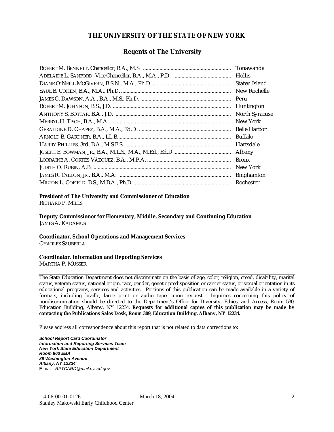#### **THE UNIVERSITY OF THE STATE OF NEW YORK**

#### **Regents of The University**

| Tonawanda             |
|-----------------------|
| <b>Hollis</b>         |
| Staten Island         |
| New Rochelle          |
| Peru                  |
| Huntington            |
| <b>North Syracuse</b> |
| New York              |
| <b>Belle Harbor</b>   |
| <b>Buffalo</b>        |
| Hartsdale             |
| Albany                |
| <b>Bronx</b>          |
| New York              |
| <b>Binghamton</b>     |
| Rochester             |

#### **President of The University and Commissioner of Education**

RICHARD P. MILLS

**Deputy Commissioner for Elementary, Middle, Secondary and Continuing Education**  JAMES A. KADAMUS

#### **Coordinator, School Operations and Management Services**

CHARLES SZUBERLA

#### **Coordinator, Information and Reporting Services**

MARTHA P. MUSSER

The State Education Department does not discriminate on the basis of age, color, religion, creed, disability, marital status, veteran status, national origin, race, gender, genetic predisposition or carrier status, or sexual orientation in its educational programs, services and activities. Portions of this publication can be made available in a variety of formats, including braille, large print or audio tape, upon request. Inquiries concerning this policy of nondiscrimination should be directed to the Department's Office for Diversity, Ethics, and Access, Room 530, Education Building, Albany, NY 12234. **Requests for additional copies of this publication may be made by contacting the Publications Sales Desk, Room 309, Education Building, Albany, NY 12234.** 

Please address all correspondence about this report that is not related to data corrections to:

*School Report Card Coordinator Information and Reporting Services Team New York State Education Department Room 863 EBA 89 Washington Avenue Albany, NY 12234*  E-mail: *RPTCARD@mail.nysed.gov*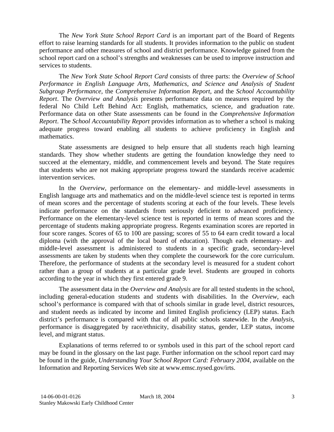The *New York State School Report Card* is an important part of the Board of Regents effort to raise learning standards for all students. It provides information to the public on student performance and other measures of school and district performance. Knowledge gained from the school report card on a school's strengths and weaknesses can be used to improve instruction and services to students.

The *New York State School Report Card* consists of three parts: the *Overview of School Performance in English Language Arts, Mathematics, and Science and Analysis of Student Subgroup Performance,* the *Comprehensive Information Report,* and the *School Accountability Report*. The *Overview and Analysis* presents performance data on measures required by the federal No Child Left Behind Act: English, mathematics, science, and graduation rate. Performance data on other State assessments can be found in the *Comprehensive Information Report*. The *School Accountability Report* provides information as to whether a school is making adequate progress toward enabling all students to achieve proficiency in English and mathematics.

State assessments are designed to help ensure that all students reach high learning standards. They show whether students are getting the foundation knowledge they need to succeed at the elementary, middle, and commencement levels and beyond. The State requires that students who are not making appropriate progress toward the standards receive academic intervention services.

In the *Overview*, performance on the elementary- and middle-level assessments in English language arts and mathematics and on the middle-level science test is reported in terms of mean scores and the percentage of students scoring at each of the four levels. These levels indicate performance on the standards from seriously deficient to advanced proficiency. Performance on the elementary-level science test is reported in terms of mean scores and the percentage of students making appropriate progress. Regents examination scores are reported in four score ranges. Scores of 65 to 100 are passing; scores of 55 to 64 earn credit toward a local diploma (with the approval of the local board of education). Though each elementary- and middle-level assessment is administered to students in a specific grade, secondary-level assessments are taken by students when they complete the coursework for the core curriculum. Therefore, the performance of students at the secondary level is measured for a student cohort rather than a group of students at a particular grade level. Students are grouped in cohorts according to the year in which they first entered grade 9.

The assessment data in the *Overview and Analysis* are for all tested students in the school, including general-education students and students with disabilities. In the *Overview*, each school's performance is compared with that of schools similar in grade level, district resources, and student needs as indicated by income and limited English proficiency (LEP) status. Each district's performance is compared with that of all public schools statewide. In the *Analysis*, performance is disaggregated by race/ethnicity, disability status, gender, LEP status, income level, and migrant status.

Explanations of terms referred to or symbols used in this part of the school report card may be found in the glossary on the last page. Further information on the school report card may be found in the guide, *Understanding Your School Report Card: February 2004*, available on the Information and Reporting Services Web site at www.emsc.nysed.gov/irts.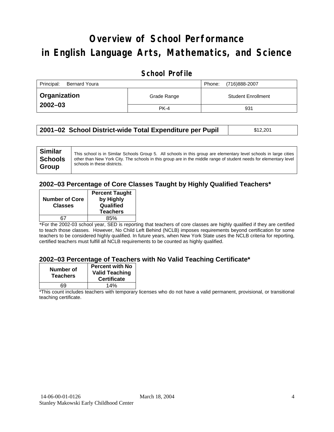# **Overview of School Performance in English Language Arts, Mathematics, and Science**

### **School Profile**

| Principal:<br><b>Bernard Youra</b> |             | (716)888-2007<br>Phone:   |
|------------------------------------|-------------|---------------------------|
| <b>Organization</b>                | Grade Range | <b>Student Enrollment</b> |
| $2002 - 03$                        | PK-4        | 931                       |

|  | 2001–02 School District-wide Total Expenditure per Pupil | \$12,201 |
|--|----------------------------------------------------------|----------|
|--|----------------------------------------------------------|----------|

#### **2002–03 Percentage of Core Classes Taught by Highly Qualified Teachers\***

| <b>Number of Core</b><br><b>Classes</b> | <b>Percent Taught</b><br>by Highly<br>Qualified<br><b>Teachers</b> |
|-----------------------------------------|--------------------------------------------------------------------|
|                                         |                                                                    |
|                                         | 85%                                                                |
|                                         |                                                                    |

\*For the 2002-03 school year, SED is reporting that teachers of core classes are highly qualified if they are certified to teach those classes. However, No Child Left Behind (NCLB) imposes requirements beyond certification for some teachers to be considered highly qualified. In future years, when New York State uses the NCLB criteria for reporting, certified teachers must fulfill all NCLB requirements to be counted as highly qualified.

#### **2002–03 Percentage of Teachers with No Valid Teaching Certificate\***

| Number of<br><b>Teachers</b> | <b>Percent with No</b><br><b>Valid Teaching</b><br><b>Certificate</b> |
|------------------------------|-----------------------------------------------------------------------|
| 69                           | 14%                                                                   |

\*This count includes teachers with temporary licenses who do not have a valid permanent, provisional, or transitional teaching certificate.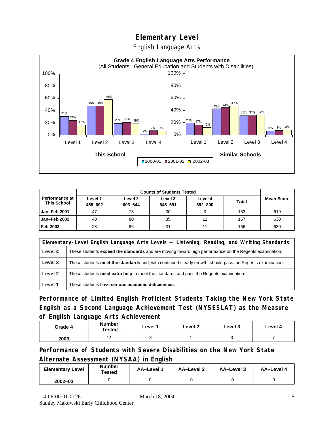English Language Arts



|                                             |                    | <b>Counts of Students Tested</b> |                    |                    |              |                   |
|---------------------------------------------|--------------------|----------------------------------|--------------------|--------------------|--------------|-------------------|
| <b>Performance at</b><br><b>This School</b> | Level 1<br>455-602 | Level 2<br>603-644               | Level 3<br>645-691 | Level 4<br>692-800 | <b>Total</b> | <b>Mean Score</b> |
| Jan-Feb 2001                                | 47                 | 73                               | 30                 |                    | 153          | 619               |
| Jan-Feb 2002                                | 40                 | 80                               | 35                 | 12                 | 167          | 630               |
| Feb 2003                                    | 28                 | 96                               | 31                 | 11                 | 166          | 630               |

|         | Elementary-Level English Language Arts Levels — Listening, Reading, and Writing Standards                 |
|---------|-----------------------------------------------------------------------------------------------------------|
| Level 4 | These students exceed the standards and are moving toward high performance on the Regents examination.    |
| Level 3 | These students meet the standards and, with continued steady growth, should pass the Regents examination. |
| Level 2 | These students <b>need extra help</b> to meet the standards and pass the Regents examination.             |
| Level 1 | These students have serious academic deficiencies.                                                        |

**Performance of Limited English Proficient Students Taking the New York State English as a Second Language Achievement Test (NYSESLAT) as the Measure of English Language Arts Achievement**

| Grade 4 | <b>Number</b><br>Tested | Level 1 | Level 2 | Level 3 | Level 4 |
|---------|-------------------------|---------|---------|---------|---------|
| 2003    | 14                      |         |         |         |         |

**Performance of Students with Severe Disabilities on the New York State Alternate Assessment (NYSAA) in English** 

| <b>Elementary Level</b> | <b>Number</b><br>Tested | AA-Level | AA-Level 2 | AA-Level 3 | AA-Level 4 |
|-------------------------|-------------------------|----------|------------|------------|------------|
| $2002 - 03$             |                         |          |            |            |            |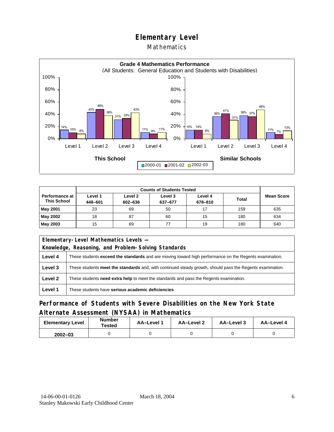#### Mathematics



|                                      |                    | <b>Counts of Students Tested</b> |                    |                    |              |                   |  |
|--------------------------------------|--------------------|----------------------------------|--------------------|--------------------|--------------|-------------------|--|
| Performance at<br><b>This School</b> | Level 1<br>448-601 | Level 2<br>602-636               | Level 3<br>637-677 | Level 4<br>678-810 | <b>Total</b> | <b>Mean Score</b> |  |
| <b>May 2001</b>                      | 23                 | 69                               | 50                 | 17                 | 159          | 635               |  |
| May 2002                             | 18                 | 87                               | 60                 | 15                 | 180          | 634               |  |
| May 2003                             | 15                 | 69                               |                    | 19                 | 180          | 640               |  |

|                                                     | Elementary-Level Mathematics Levels -                                                                         |  |  |  |
|-----------------------------------------------------|---------------------------------------------------------------------------------------------------------------|--|--|--|
| Knowledge, Reasoning, and Problem-Solving Standards |                                                                                                               |  |  |  |
| Level 4                                             | These students <b>exceed the standards</b> and are moving toward high performance on the Regents examination. |  |  |  |
| Level 3                                             | These students meet the standards and, with continued steady growth, should pass the Regents examination.     |  |  |  |
| Level 2                                             | These students need extra help to meet the standards and pass the Regents examination.                        |  |  |  |
| Level 1                                             | These students have serious academic deficiencies.                                                            |  |  |  |

### **Performance of Students with Severe Disabilities on the New York State Alternate Assessment (NYSAA) in Mathematics**

| <b>Elementary Level</b> | <b>Number</b><br>Tested | AA-Level 1 | AA-Level 2 | AA–Level 3 | AA-Level 4 |  |
|-------------------------|-------------------------|------------|------------|------------|------------|--|
| $2002 - 03$             |                         |            |            |            |            |  |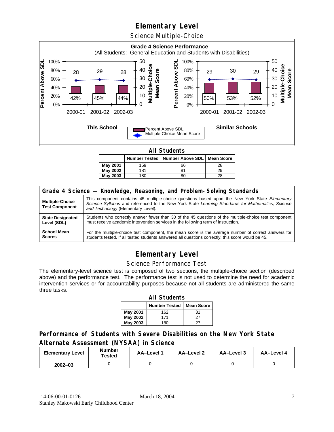Science Multiple-Choice



**All Students** 

|                 |     | Number Tested   Number Above SDL   Mean Score |    |
|-----------------|-----|-----------------------------------------------|----|
| May 2001        | 159 | 66                                            | 28 |
| May 2002        | 181 | 81                                            | 29 |
| <b>May 2003</b> | 180 | 80                                            | 28 |

| Grade 4 Science - Knowledge, Reasoning, and Problem-Solving Standards |                                                                                                                                                                                                                                          |  |  |  |  |  |
|-----------------------------------------------------------------------|------------------------------------------------------------------------------------------------------------------------------------------------------------------------------------------------------------------------------------------|--|--|--|--|--|
| <b>Multiple-Choice</b><br><b>Test Component</b>                       | This component contains 45 multiple-choice questions based upon the New York State Elementary<br>Science Syllabus and referenced to the New York State Learning Standards for Mathematics, Science<br>and Technology (Elementary Level). |  |  |  |  |  |
| <b>State Designated</b>                                               | Students who correctly answer fewer than 30 of the 45 questions of the multiple-choice test component                                                                                                                                    |  |  |  |  |  |
| Level (SDL)                                                           | must receive academic intervention services in the following term of instruction.                                                                                                                                                        |  |  |  |  |  |
| <b>School Mean</b>                                                    | For the multiple-choice test component, the mean score is the average number of correct answers for                                                                                                                                      |  |  |  |  |  |
| <b>Scores</b>                                                         | students tested. If all tested students answered all questions correctly, this score would be 45.                                                                                                                                        |  |  |  |  |  |

### **Elementary Level**

#### Science Performance Test

The elementary-level science test is composed of two sections, the multiple-choice section (described above) and the performance test. The performance test is not used to determine the need for academic intervention services or for accountability purposes because not all students are administered the same three tasks.

| <b>All Students</b>                       |     |    |  |  |  |  |  |  |
|-------------------------------------------|-----|----|--|--|--|--|--|--|
| <b>Number Tested</b><br><b>Mean Score</b> |     |    |  |  |  |  |  |  |
| May 2001                                  | 162 | 31 |  |  |  |  |  |  |
| May 2002                                  | 27  |    |  |  |  |  |  |  |
| <b>May 2003</b>                           | 180 |    |  |  |  |  |  |  |

### **Performance of Students with Severe Disabilities on the New York State Alternate Assessment (NYSAA) in Science**

| <b>Elementary Level</b> | <b>Number</b><br>Tested | AA-Level | AA-Level 2 | <b>AA-Level 3</b> | AA-Level 4 |  |
|-------------------------|-------------------------|----------|------------|-------------------|------------|--|
| $2002 - 03$             |                         |          |            |                   |            |  |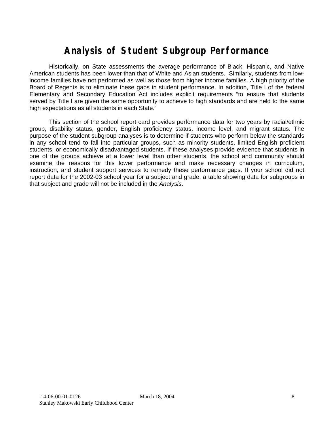# **Analysis of Student Subgroup Performance**

Historically, on State assessments the average performance of Black, Hispanic, and Native American students has been lower than that of White and Asian students. Similarly, students from lowincome families have not performed as well as those from higher income families. A high priority of the Board of Regents is to eliminate these gaps in student performance. In addition, Title I of the federal Elementary and Secondary Education Act includes explicit requirements "to ensure that students served by Title I are given the same opportunity to achieve to high standards and are held to the same high expectations as all students in each State."

This section of the school report card provides performance data for two years by racial/ethnic group, disability status, gender, English proficiency status, income level, and migrant status. The purpose of the student subgroup analyses is to determine if students who perform below the standards in any school tend to fall into particular groups, such as minority students, limited English proficient students, or economically disadvantaged students. If these analyses provide evidence that students in one of the groups achieve at a lower level than other students, the school and community should examine the reasons for this lower performance and make necessary changes in curriculum, instruction, and student support services to remedy these performance gaps. If your school did not report data for the 2002-03 school year for a subject and grade, a table showing data for subgroups in that subject and grade will not be included in the *Analysis*.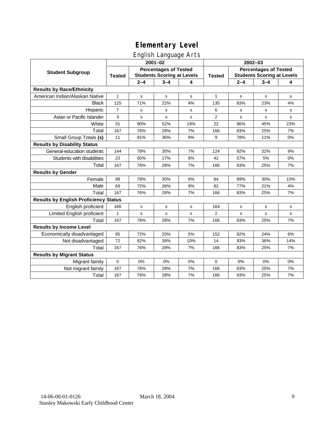### English Language Arts

|                                              | ັ<br>$2001 - 02$                                                                   |         |             |               | 2002-03                                                           |             |             |              |
|----------------------------------------------|------------------------------------------------------------------------------------|---------|-------------|---------------|-------------------------------------------------------------------|-------------|-------------|--------------|
| <b>Student Subgroup</b>                      | <b>Percentages of Tested</b><br><b>Students Scoring at Levels</b><br><b>Tested</b> |         |             | <b>Tested</b> | <b>Percentages of Tested</b><br><b>Students Scoring at Levels</b> |             |             |              |
|                                              |                                                                                    | $2 - 4$ | $3 - 4$     | 4             |                                                                   | $2 - 4$     | $3 - 4$     | 4            |
| <b>Results by Race/Ethnicity</b>             |                                                                                    |         |             |               |                                                                   |             |             |              |
| American Indian/Alaskan Native               | $\mathbf{1}$                                                                       | s       | $\mathbf s$ | s             | $\mathbf{1}$                                                      | s           | $\mathbf s$ | s            |
| <b>Black</b>                                 | 125                                                                                | 71%     | 22%         | 4%            | 135                                                               | 83%         | 23%         | 4%           |
| Hispanic                                     | $\overline{7}$                                                                     | s       | s           | s             | 6                                                                 | s           | s           | s            |
| Asian or Pacific Islander                    | 3                                                                                  | s       | s           | s             | 2                                                                 | s           | s           | $\mathbf{s}$ |
| White                                        | 31                                                                                 | 90%     | 52%         | 19%           | 22                                                                | 86%         | 45%         | 23%          |
| Total                                        | 167                                                                                | 76%     | 28%         | 7%            | 166                                                               | 83%         | 25%         | 7%           |
| Small Group Totals (s)                       | 11                                                                                 | 91%     | 36%         | 9%            | 9                                                                 | 78%         | 11%         | 0%           |
| <b>Results by Disability Status</b>          |                                                                                    |         |             |               |                                                                   |             |             |              |
| General-education students                   | 144                                                                                | 78%     | 30%         | 7%            | 124                                                               | 92%         | 32%         | 9%           |
| Students with disabilities                   | 23                                                                                 | 65%     | 17%         | 9%            | 42                                                                | 57%         | 5%          | 0%           |
| Total                                        | 167                                                                                | 76%     | 28%         | 7%            | 166                                                               | 83%         | 25%         | 7%           |
| <b>Results by Gender</b>                     |                                                                                    |         |             |               |                                                                   |             |             |              |
| Female                                       | 98                                                                                 | 79%     | 30%         | 6%            | 84                                                                | 89%         | 30%         | 10%          |
| Male                                         | 69                                                                                 | 72%     | 26%         | 9%            | 82                                                                | 77%         | 21%         | 4%           |
| Total                                        | 167                                                                                | 76%     | 28%         | 7%            | 166                                                               | 83%         | 25%         | 7%           |
| <b>Results by English Proficiency Status</b> |                                                                                    |         |             |               |                                                                   |             |             |              |
| English proficient                           | 166                                                                                | s       | $\mathbf s$ | s             | 164                                                               | s           | s           | s            |
| Limited English proficient                   | $\mathbf{1}$                                                                       | s       | s           | S             | 2                                                                 | $\mathbf s$ | s           | $\mathbf s$  |
| Total                                        | 167                                                                                | 76%     | 28%         | 7%            | 166                                                               | 83%         | 25%         | 7%           |
| <b>Results by Income Level</b>               |                                                                                    |         |             |               |                                                                   |             |             |              |
| Economically disadvantaged                   | 95                                                                                 | 72%     | 20%         | 5%            | 152                                                               | 82%         | 24%         | 6%           |
| Not disadvantaged                            | 72                                                                                 | 82%     | 39%         | 10%           | 14                                                                | 93%         | 36%         | 14%          |
| Total                                        | 167                                                                                | 76%     | 28%         | 7%            | 166                                                               | 83%         | 25%         | 7%           |
| <b>Results by Migrant Status</b>             |                                                                                    |         |             |               |                                                                   |             |             |              |
| Migrant family                               | $\mathbf 0$                                                                        | 0%      | 0%          | 0%            | 0                                                                 | 0%          | 0%          | 0%           |
| Not migrant family                           | 167                                                                                | 76%     | 28%         | 7%            | 166                                                               | 83%         | 25%         | 7%           |
| Total                                        | 167                                                                                | 76%     | 28%         | 7%            | 166                                                               | 83%         | 25%         | 7%           |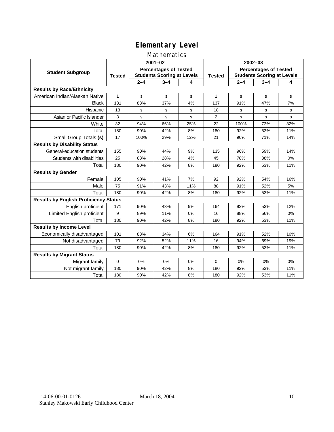### Mathematics

|                                              | $2001 - 02$                                                                        |         |         |               | $2002 - 03$                                                       |         |         |              |
|----------------------------------------------|------------------------------------------------------------------------------------|---------|---------|---------------|-------------------------------------------------------------------|---------|---------|--------------|
| <b>Student Subgroup</b>                      | <b>Percentages of Tested</b><br><b>Students Scoring at Levels</b><br><b>Tested</b> |         |         | <b>Tested</b> | <b>Percentages of Tested</b><br><b>Students Scoring at Levels</b> |         |         |              |
|                                              |                                                                                    | $2 - 4$ | $3 - 4$ | 4             |                                                                   | $2 - 4$ | $3 - 4$ | 4            |
| <b>Results by Race/Ethnicity</b>             |                                                                                    |         |         |               |                                                                   |         |         |              |
| American Indian/Alaskan Native               | 1                                                                                  | s       | s       | s             | $\mathbf{1}$                                                      | s       | s       | s            |
| <b>Black</b>                                 | 131                                                                                | 88%     | 37%     | 4%            | 137                                                               | 91%     | 47%     | 7%           |
| Hispanic                                     | 13                                                                                 | s       | s       | s             | 18                                                                | s       | s       | s            |
| Asian or Pacific Islander                    | 3                                                                                  | s       | s       | s             | $\overline{2}$                                                    | s       | s       | $\mathbf{s}$ |
| White                                        | 32                                                                                 | 94%     | 66%     | 25%           | 22                                                                | 100%    | 73%     | 32%          |
| Total                                        | 180                                                                                | 90%     | 42%     | 8%            | 180                                                               | 92%     | 53%     | 11%          |
| Small Group Totals (s)                       | 17                                                                                 | 100%    | 29%     | 12%           | 21                                                                | 90%     | 71%     | 14%          |
| <b>Results by Disability Status</b>          |                                                                                    |         |         |               |                                                                   |         |         |              |
| General-education students                   | 155                                                                                | 90%     | 44%     | 9%            | 135                                                               | 96%     | 59%     | 14%          |
| Students with disabilities                   | 25                                                                                 | 88%     | 28%     | 4%            | 45                                                                | 78%     | 38%     | 0%           |
| Total                                        | 180                                                                                | 90%     | 42%     | 8%            | 180                                                               | 92%     | 53%     | 11%          |
| <b>Results by Gender</b>                     |                                                                                    |         |         |               |                                                                   |         |         |              |
| Female                                       | 105                                                                                | 90%     | 41%     | 7%            | 92                                                                | 92%     | 54%     | 16%          |
| Male                                         | 75                                                                                 | 91%     | 43%     | 11%           | 88                                                                | 91%     | 52%     | 5%           |
| Total                                        | 180                                                                                | 90%     | 42%     | 8%            | 180                                                               | 92%     | 53%     | 11%          |
| <b>Results by English Proficiency Status</b> |                                                                                    |         |         |               |                                                                   |         |         |              |
| English proficient                           | 171                                                                                | 90%     | 43%     | 9%            | 164                                                               | 92%     | 53%     | 12%          |
| Limited English proficient                   | 9                                                                                  | 89%     | 11%     | 0%            | 16                                                                | 88%     | 56%     | 0%           |
| Total                                        | 180                                                                                | 90%     | 42%     | 8%            | 180                                                               | 92%     | 53%     | 11%          |
| <b>Results by Income Level</b>               |                                                                                    |         |         |               |                                                                   |         |         |              |
| Economically disadvantaged                   | 101                                                                                | 88%     | 34%     | 6%            | 164                                                               | 91%     | 52%     | 10%          |
| Not disadvantaged                            | 79                                                                                 | 92%     | 52%     | 11%           | 16                                                                | 94%     | 69%     | 19%          |
| Total                                        | 180                                                                                | 90%     | 42%     | 8%            | 180                                                               | 92%     | 53%     | 11%          |
| <b>Results by Migrant Status</b>             |                                                                                    |         |         |               |                                                                   |         |         |              |
| Migrant family                               | 0                                                                                  | 0%      | 0%      | 0%            | $\Omega$                                                          | 0%      | 0%      | 0%           |
| Not migrant family                           | 180                                                                                | 90%     | 42%     | 8%            | 180                                                               | 92%     | 53%     | 11%          |
| Total                                        | 180                                                                                | 90%     | 42%     | 8%            | 180                                                               | 92%     | 53%     | 11%          |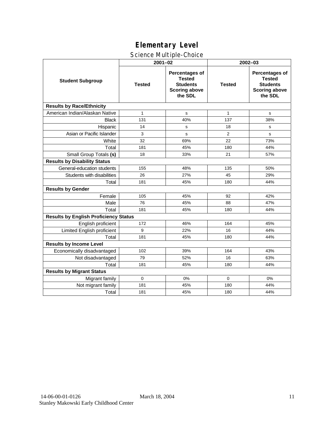### Science Multiple-Choice

|                                              | $2001 - 02$   |                                                                                       | 2002-03        |                                                                                              |  |  |
|----------------------------------------------|---------------|---------------------------------------------------------------------------------------|----------------|----------------------------------------------------------------------------------------------|--|--|
| <b>Student Subgroup</b>                      | <b>Tested</b> | Percentages of<br><b>Tested</b><br><b>Students</b><br><b>Scoring above</b><br>the SDL | <b>Tested</b>  | <b>Percentages of</b><br><b>Tested</b><br><b>Students</b><br><b>Scoring above</b><br>the SDL |  |  |
| <b>Results by Race/Ethnicity</b>             |               |                                                                                       |                |                                                                                              |  |  |
| American Indian/Alaskan Native               | $\mathbf{1}$  | s                                                                                     | $\mathbf{1}$   | s                                                                                            |  |  |
| <b>Black</b>                                 | 131           | 40%                                                                                   | 137            | 38%                                                                                          |  |  |
| Hispanic                                     | 14            | s                                                                                     | 18             | s                                                                                            |  |  |
| Asian or Pacific Islander                    | 3             | s                                                                                     | $\overline{2}$ | s                                                                                            |  |  |
| White                                        | 32            | 69%                                                                                   | 22             | 73%                                                                                          |  |  |
| Total                                        | 181           | 45%                                                                                   | 180            | 44%                                                                                          |  |  |
| Small Group Totals (s)                       | 18            | 33%                                                                                   | 21             | 57%                                                                                          |  |  |
| <b>Results by Disability Status</b>          |               |                                                                                       |                |                                                                                              |  |  |
| General-education students                   | 155           | 48%                                                                                   | 135            | 50%                                                                                          |  |  |
| Students with disabilities                   | 26            | 27%                                                                                   | 45             | 29%                                                                                          |  |  |
| Total                                        | 181           | 45%                                                                                   | 180            | 44%                                                                                          |  |  |
| <b>Results by Gender</b>                     |               |                                                                                       |                |                                                                                              |  |  |
| Female                                       | 105           | 45%                                                                                   | 92             | 42%                                                                                          |  |  |
| Male                                         | 76            | 45%                                                                                   | 88             | 47%                                                                                          |  |  |
| Total                                        | 181           | 45%                                                                                   | 180            | 44%                                                                                          |  |  |
| <b>Results by English Proficiency Status</b> |               |                                                                                       |                |                                                                                              |  |  |
| English proficient                           | 172           | 46%                                                                                   | 164            | 45%                                                                                          |  |  |
| Limited English proficient                   | 9             | 22%                                                                                   | 16             | 44%                                                                                          |  |  |
| Total                                        | 181           | 45%                                                                                   | 180            | 44%                                                                                          |  |  |
| <b>Results by Income Level</b>               |               |                                                                                       |                |                                                                                              |  |  |
| Economically disadvantaged                   | 102           | 39%                                                                                   | 164            | 43%                                                                                          |  |  |
| Not disadvantaged                            | 79            | 52%                                                                                   | 16             | 63%                                                                                          |  |  |
| Total                                        | 181           | 45%                                                                                   | 180            | 44%                                                                                          |  |  |
| <b>Results by Migrant Status</b>             |               |                                                                                       |                |                                                                                              |  |  |
| Migrant family                               | $\mathbf 0$   | 0%                                                                                    | $\Omega$       | 0%                                                                                           |  |  |
| Not migrant family                           | 181           | 45%                                                                                   | 180            | 44%                                                                                          |  |  |
| Total                                        | 181           | 45%                                                                                   | 180            | 44%                                                                                          |  |  |